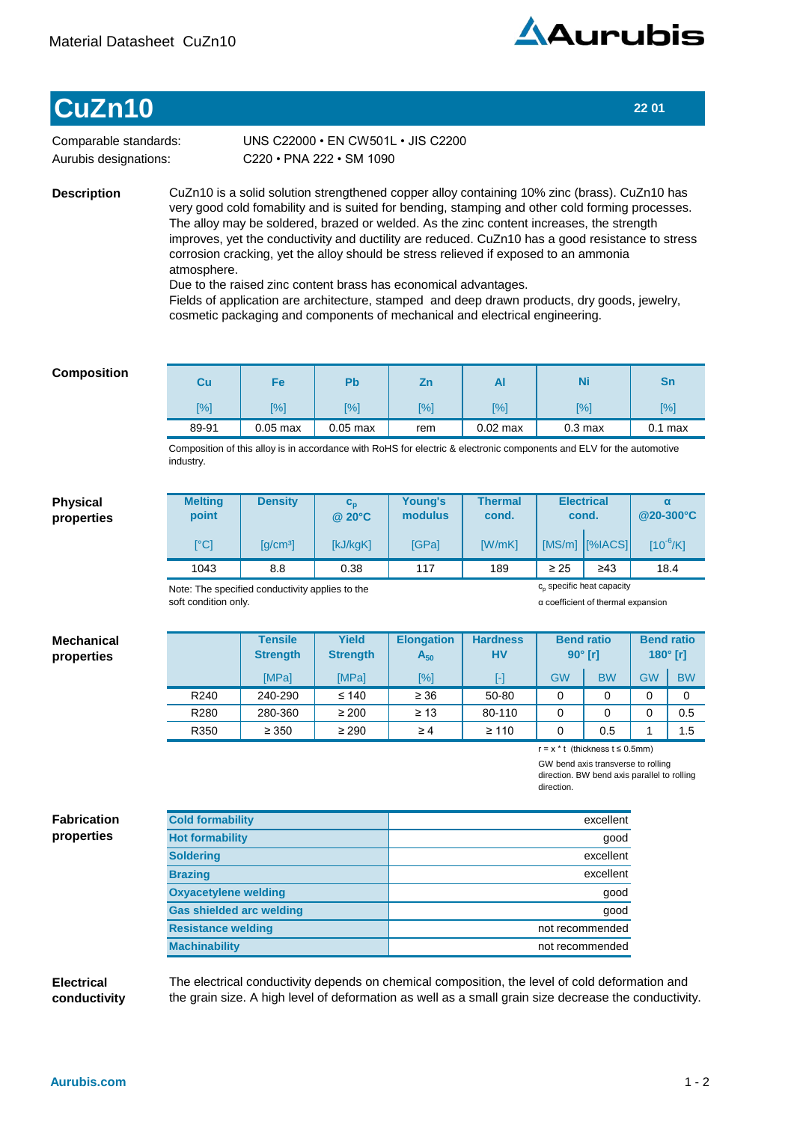

## **CuZn10 22 01**

Comparable standards: Aurubis designations:

C220 • PNA 222 • SM 1090 UNS C22000 · EN CW501L · JIS C2200

**Description**

CuZn10 is a solid solution strengthened copper alloy containing 10% zinc (brass). CuZn10 has very good cold fomability and is suited for bending, stamping and other cold forming processes. The alloy may be soldered, brazed or welded. As the zinc content increases, the strength improves, yet the conductivity and ductility are reduced. CuZn10 has a good resistance to stress corrosion cracking, yet the alloy should be stress relieved if exposed to an ammonia atmosphere.

Due to the raised zinc content brass has economical advantages.

Fields of application are architecture, stamped and deep drawn products, dry goods, jewelry, cosmetic packaging and components of mechanical and electrical engineering.

## **Composition**

| Cu    | Fe         | Pb                 | Zn     | Al                 | Ni                  | Sn        |  |
|-------|------------|--------------------|--------|--------------------|---------------------|-----------|--|
| [%]   | [%]        | $\lceil \% \rceil$ | $[\%]$ | $\lceil \% \rceil$ | $\lceil 0/6 \rceil$ | <b>1%</b> |  |
| 89-91 | $0.05$ max | $0.05$ max         | rem    | $0.02$ max         | 0.3 <sub>max</sub>  | $0.1$ max |  |

Composition of this alloy is in accordance with RoHS for electric & electronic components and ELV for the automotive industry.

## **Physical properties**

**Mechanical properties**

| <b>Melting</b><br>point | <b>Density</b>         | $\mathbf{c}_{\mathbf{n}}$<br>$@$ 20 $°C$ | Young's<br>modulus | <b>Electrical</b><br><b>Thermal</b><br>cond.<br>cond. |           | α<br>@20-300°C  |               |
|-------------------------|------------------------|------------------------------------------|--------------------|-------------------------------------------------------|-----------|-----------------|---------------|
| [°C]                    | $\lceil q/cm^3 \rceil$ | [kJ/kgK]                                 | <b>IGPal</b>       | [W/mK]                                                |           | [MS/m] [%IACS]] | $[10^{-6}/K]$ |
| 1043                    | 8.8                    | 0.38                                     | 117                | 189                                                   | $\geq 25$ | $\geq 43$       | 18.4          |

Note: The specified conductivity applies to the soft condition only.

 $c_p$  specific heat capacity α coefficient of thermal expansion

|      | <b>Tensile</b><br><b>Strength</b> | <b>Yield</b><br><b>Strength</b> | <b>Elongation</b><br>$A_{50}$ | <b>Hardness</b><br><b>HV</b> | <b>Bend ratio</b><br>$90^\circ$ [r] |           | <b>Bend ratio</b><br>180 $^{\circ}$ [r] |           |
|------|-----------------------------------|---------------------------------|-------------------------------|------------------------------|-------------------------------------|-----------|-----------------------------------------|-----------|
|      | [MPa]                             | [MPa]                           | [%]                           | H                            | <b>GW</b>                           | <b>BW</b> | GW                                      | <b>BW</b> |
| R240 | 240-290                           | $\leq 140$                      | $\geq 36$                     | 50-80                        | 0                                   | 0         | 0                                       |           |
| R280 | 280-360                           | $\geq 200$                      | $\geq 13$                     | 80-110                       | 0                                   | 0         |                                         | 0.5       |
| R350 | $\geq 350$                        | $\geq$ 290                      | $\geq 4$                      | $\geq 110$                   | 0                                   | 0.5       |                                         | 1.5       |

r=x\*t(thicknesst≤0.5mm)

GW bend axis transverse to rolling direction. BW bend axis parallel to rolling direction.

| <b>Cold formability</b>         | excellent       |
|---------------------------------|-----------------|
| <b>Hot formability</b>          | good            |
| <b>Soldering</b>                | excellent       |
| <b>Brazing</b>                  | excellent       |
| <b>Oxyacetylene welding</b>     | good            |
| <b>Gas shielded arc welding</b> | good            |
| <b>Resistance welding</b>       | not recommended |
| <b>Machinability</b>            | not recommended |
|                                 |                 |

**Electrical conductivity** The electrical conductivity depends on chemical composition, the level of cold deformation and the grain size. A high level of deformation as well as a small grain size decrease the conductivity.